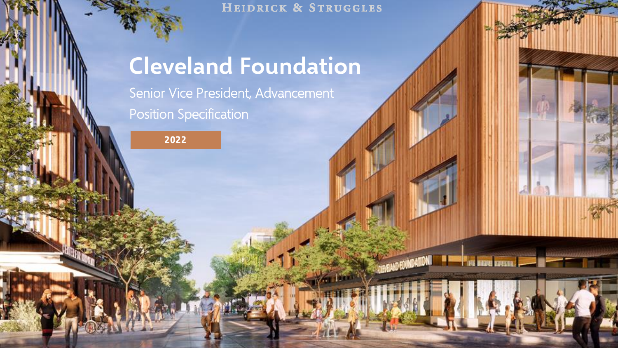HEIDRICK & STRUGGLES

1

# **Cleveland Foundation**

Senior Vice President, Advancement Position Specification

**2022**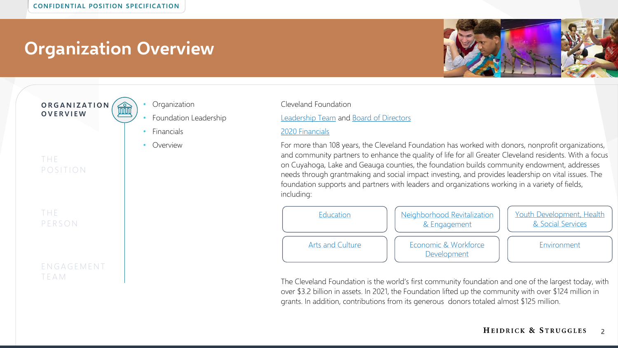**O R G A N I Z A T I O N**  窳 **O V E R V I E W**

- -
	-

T H E **PERSON** 

P O S I T I O N

T H E

#### E N G A G E M E N T T E A M



• Foundation Leadership [Leadership Team](https://www.clevelandfoundation.org/about/staff/) and [Board of Directors](https://www.clevelandfoundation.org/about/board-of-directors/)

#### • Financials [2020 Financials](https://www.clevelandfoundation.org/about/financial-statements/)

Overview **Example 20 Formore than 108 years, the Cleveland Foundation has worked with donors, nonprofit organizations,** and community partners to enhance the quality of life for all Greater Cleveland residents. With a focus on Cuyahoga, Lake and Geauga counties, the foundation builds community endowment, addresses needs through grantmaking and social impact investing, and provides leadership on vital issues. The foundation supports and partners with leaders and organizations working in a variety of fields, including:



The Cleveland Foundation is the world's first community foundation and one of the largest today, with over \$3.2 billion in assets. In 2021, the Foundation lifted up the community with over \$124 million in grants. In addition, contributions from its generous donors totaled almost \$125 million.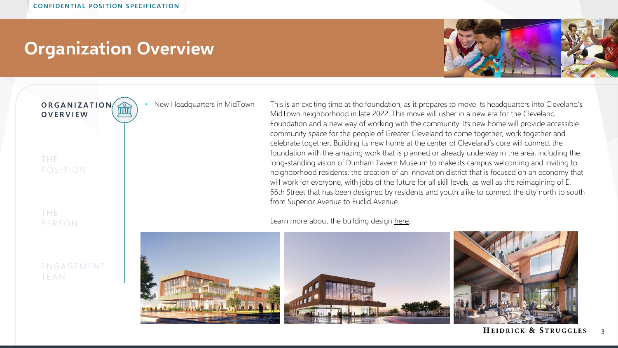**O R G A N I Z A T I O N O V E R V I E W**

T H E P O S I T I O N

T H E **PERSON** 

E N G A G E M E N T T E A M

• New Headquarters in MidTown This is an exciting time at the foundation, as it prepares to move its headquarters into Cleveland's MidTown neighborhood in late 2022. This move will usher in a new era for the Cleveland Foundation and a new way of working with the community. Its new home will provide accessible community space for the people of Greater Cleveland to come together, work together and celebrate together. Building its new home at the center of Cleveland's core will connect the foundation with the amazing work that is planned or already underway in the area, including the long-standing vision of Dunham Tavern Museum to make its campus welcoming and inviting to neighborhood residents; the creation of an innovation district that is focused on an economy that will work for everyone, with jobs of the future for all skill levels; as well as the reimagining of E. 66th Street that has been designed by residents and youth alike to connect the city north to south from Superior Avenue to Euclid Avenue.

Learn more about the building design [here](https://www.clevelandfoundation.org/about/headquarters/).



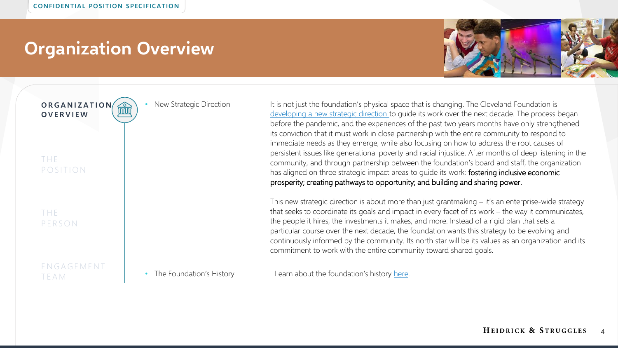

**O R G A N I Z A T I O N**  窳 **O V E R V I E W**

T H E P O S I T I O N

#### T H E **PERSON**

E N G A G E M E N T T E A M

New Strategic Direction It is not just the foundation's physical space that is changing. The Cleveland Foundation is [developing a new strategic direction t](https://www.clevelandfoundation.org/2021/09/a-commitment-to-working-with-the-community-our-strategic-direction/)o guide its work over the next decade. The process began before the pandemic, and the experiences of the past two years months have only strengthened its conviction that it must work in close partnership with the entire community to respond to immediate needs as they emerge, while also focusing on how to address the root causes of persistent issues like generational poverty and racial injustice. After months of deep listening in the community, and through partnership between the foundation's board and staff, the organization has aligned on three strategic impact areas to guide its work: fostering inclusive economic prosperity; creating pathways to opportunity; and building and sharing power.

> This new strategic direction is about more than just grantmaking – it's an enterprise-wide strategy that seeks to coordinate its goals and impact in every facet of its work – the way it communicates, the people it hires, the investments it makes, and more. Instead of a rigid plan that sets a particular course over the next decade, the foundation wants this strategy to be evolving and continuously informed by the community. Its north star will be its values as an organization and its commitment to work with the entire community toward shared goals.

• The Foundation's History Learn about the foundation's history [here](http://www.clevelandfoundation100.org/?utm_source=100&utm_medium=redirect&utm_campaign=centennial).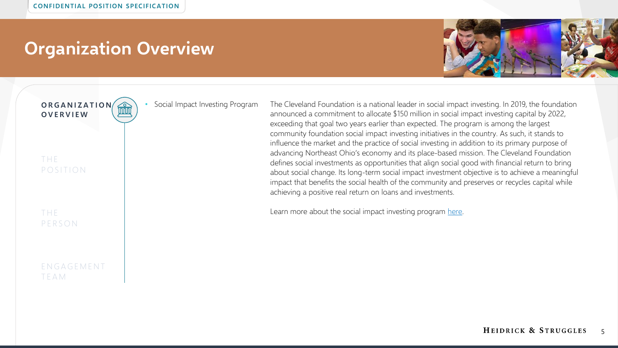

**O R G A N I Z A T I O N**  窳 **O V E R V I E W**

T H E P O S I T I O N

T H E **PERSON** 

E N G A G E M E N T T E A M

• Social Impact Investing Program The Cleveland Foundation is a national leader in social impact investing. In 2019, the foundation announced a commitment to allocate \$150 million in social impact investing capital by 2022, exceeding that goal two years earlier than expected. The program is among the largest community foundation social impact investing initiatives in the country. As such, it stands to influence the market and the practice of social investing in addition to its primary purpose of advancing Northeast Ohio's economy and its place-based mission. The Cleveland Foundation defines social investments as opportunities that align social good with financial return to bring about social change. Its long-term social impact investment objective is to achieve a meaningful impact that benefits the social health of the community and preserves or recycles capital while achieving a positive real return on loans and investments.

Learn more about the social impact investing program [here.](https://www.clevelandfoundation.org/grants/impact-investing/)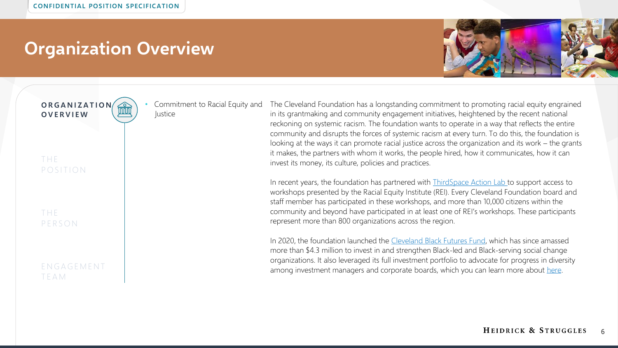• Commitment to Racial Equity and

Justice



**O R G A N I Z A T I O N O V E R V I E W**

T H E P O S I T I O N

T H E **PERSON** 

#### E N G A G E M E N T T E A M

The Cleveland Foundation has a longstanding commitment to promoting racial equity engrained in its grantmaking and community engagement initiatives, heightened by the recent national reckoning on systemic racism. The foundation wants to operate in a way that reflects the entire community and disrupts the forces of systemic racism at every turn. To do this, the foundation is looking at the ways it can promote racial justice across the organization and its work – the grants it makes, the partners with whom it works, the people hired, how it communicates, how it can invest its money, its culture, policies and practices.

In recent years, the foundation has partnered with **ThirdSpace Action Lab to support access to** workshops presented by the Racial Equity Institute (REI). Every Cleveland Foundation board and staff member has participated in these workshops, and more than 10,000 citizens within the community and beyond have participated in at least one of REI's workshops. These participants represent more than 800 organizations across the region.

In 2020, the foundation launched the [Cleveland Black Futures Fund](https://www.clevelandfoundation.org/grants/black-futures-fund/), which has since amassed more than \$4.3 million to invest in and strengthen Black-led and Black-serving social change organizations. It also leveraged its full investment portfolio to advocate for progress in diversity among investment managers and corporate boards, which you can learn more about [here](https://www.clevelandfoundation.org/2021/09/cleveland-foundation-leverages-portfolio-to-build-diverse-representation-in-the-investment-industry/).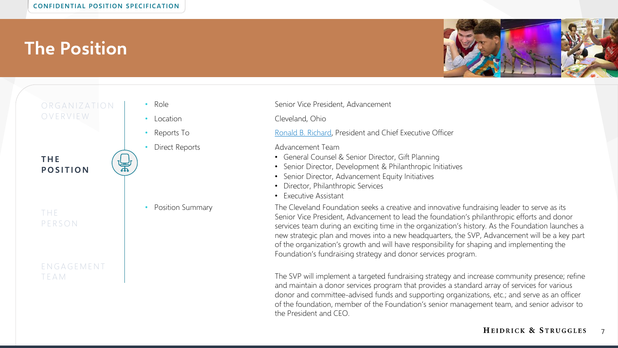

#### ORGANIZATION O V E R V I E W

**T H E P O S I T I O N**

T H E **PERSON** 

T E A M

E N G A G E M E N T

• Role Senior Vice President, Advancement

• Location Cleveland, Ohio

• Reports To **[Ronald B. Richard](https://www.clevelandfoundation.org/about/staff/), President and Chief Executive Officer** 

**Direct Reports Advancement Team** 

- General Counsel & Senior Director, Gift Planning
- Senior Director, Development & Philanthropic Initiatives
- Senior Director, Advancement Equity Initiatives
- Director, Philanthropic Services
- Executive Assistant

• Position Summary The Cleveland Foundation seeks a creative and innovative fundraising leader to serve as its Senior Vice President, Advancement to lead the foundation's philanthropic efforts and donor services team during an exciting time in the organization's history. As the Foundation launches a new strategic plan and moves into a new headquarters, the SVP, Advancement will be a key part of the organization's growth and will have responsibility for shaping and implementing the Foundation's fundraising strategy and donor services program.

> The SVP will implement a targeted fundraising strategy and increase community presence; refine and maintain a donor services program that provides a standard array of services for various donor and committee-advised funds and supporting organizations, etc.; and serve as an officer of the foundation, member of the Foundation's senior management team, and senior advisor to the President and CEO.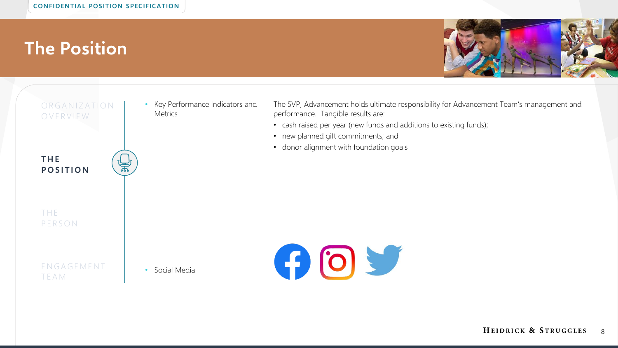

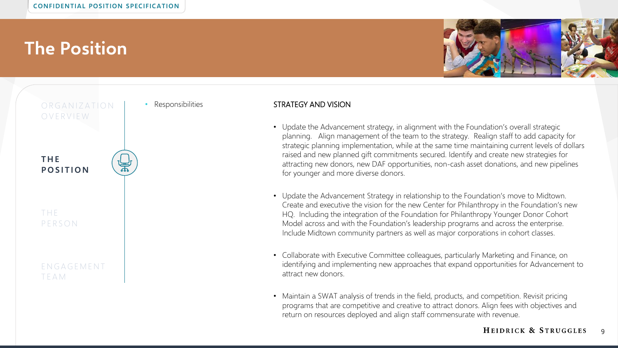



#### **Responsibilities Construction STRATEGY AND VISION**

- Update the Advancement strategy, in alignment with the Foundation's overall strategic planning. Align management of the team to the strategy. Realign staff to add capacity for strategic planning implementation, while at the same time maintaining current levels of dollars raised and new planned gift commitments secured. Identify and create new strategies for attracting new donors, new DAF opportunities, non-cash asset donations, and new pipelines for younger and more diverse donors.
- Update the Advancement Strategy in relationship to the Foundation's move to Midtown. Create and executive the vision for the new Center for Philanthropy in the Foundation's new HQ. Including the integration of the Foundation for Philanthropy Younger Donor Cohort Model across and with the Foundation's leadership programs and across the enterprise. Include Midtown community partners as well as major corporations in cohort classes.
- Collaborate with Executive Committee colleagues, particularly Marketing and Finance, on identifying and implementing new approaches that expand opportunities for Advancement to attract new donors.
- Maintain a SWAT analysis of trends in the field, products, and competition. Revisit pricing programs that are competitive and creative to attract donors. Align fees with objectives and return on resources deployed and align staff commensurate with revenue.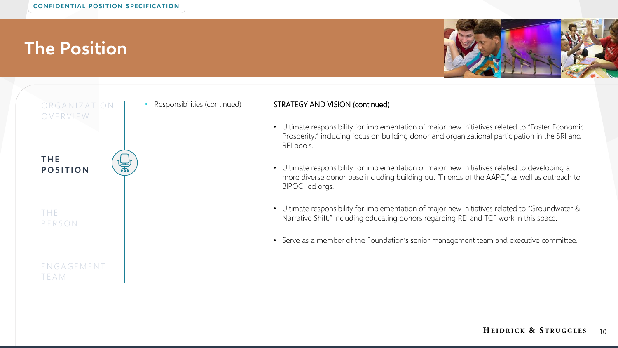



#### • Responsibilities (continued) STRATEGY AND VISION (continued)

- Ultimate responsibility for implementation of major new initiatives related to "Foster Economic Prosperity," including focus on building donor and organizational participation in the SRI and REI pools.
- Ultimate responsibility for implementation of major new initiatives related to developing a more diverse donor base including building out "Friends of the AAPC," as well as outreach to BIPOC-led orgs.
- Ultimate responsibility for implementation of major new initiatives related to "Groundwater & Narrative Shift," including educating donors regarding REI and TCF work in this space.
- Serve as a member of the Foundation's senior management team and executive committee.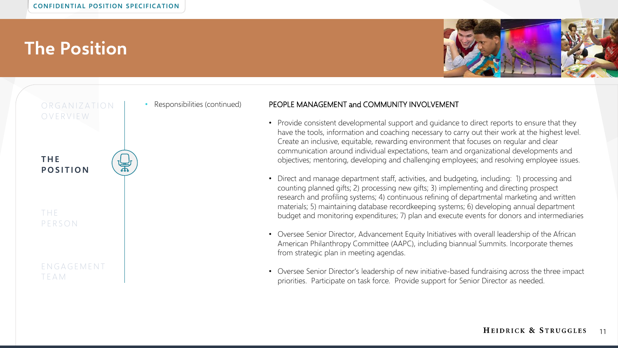



#### • Responsibilities (continued) PEOPLE MANAGEMENT and COMMUNITY INVOLVEMENT

- Provide consistent developmental support and quidance to direct reports to ensure that they have the tools, information and coaching necessary to carry out their work at the highest level. Create an inclusive, equitable, rewarding environment that focuses on regular and clear communication around individual expectations, team and organizational developments and objectives; mentoring, developing and challenging employees; and resolving employee issues.
- Direct and manage department staff, activities, and budgeting, including: 1) processing and counting planned gifts; 2) processing new gifts; 3) implementing and directing prospect research and profiling systems; 4) continuous refining of departmental marketing and written materials; 5) maintaining database recordkeeping systems; 6) developing annual department budget and monitoring expenditures; 7) plan and execute events for donors and intermediaries
- Oversee Senior Director, Advancement Equity Initiatives with overall leadership of the African American Philanthropy Committee (AAPC), including biannual Summits. Incorporate themes from strategic plan in meeting agendas.
- Oversee Senior Director's leadership of new initiative-based fundraising across the three impact priorities. Participate on task force. Provide support for Senior Director as needed.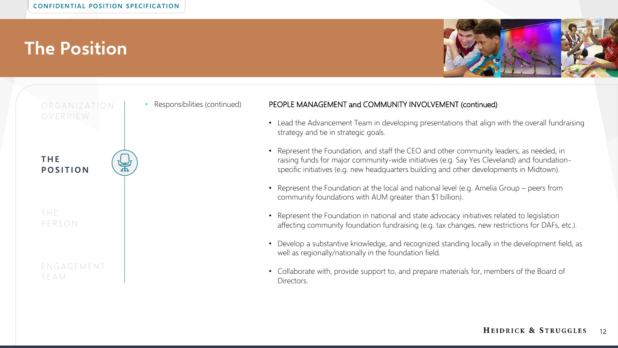



#### Responsibilities (continued) PEOPLE MANAGEMENT and COMMUNITY INVOLVEMENT (continued)

- Lead the Advancement Team in developing presentations that align with the overall fundraising strategy and tie in strategic goals.
- Represent the Foundation, and staff the CEO and other community leaders, as needed, in raising funds for major community-wide initiatives (e.g. Say Yes Cleveland) and foundationspecific initiatives (e.g. new headquarters building and other developments in Midtown).
- Represent the Foundation at the local and national level (e.g. Amelia Group peers from community foundations with AUM greater than \$1 billion).
- Represent the Foundation in national and state advocacy initiatives related to legislation affecting community foundation fundraising (e.g. tax changes, new restrictions for DAFs, etc.).
- Develop a substantive knowledge, and recognized standing locally in the development field, as well as regionally/nationally in the foundation field.
- Collaborate with, provide support to, and prepare materials for, members of the Board of Directors.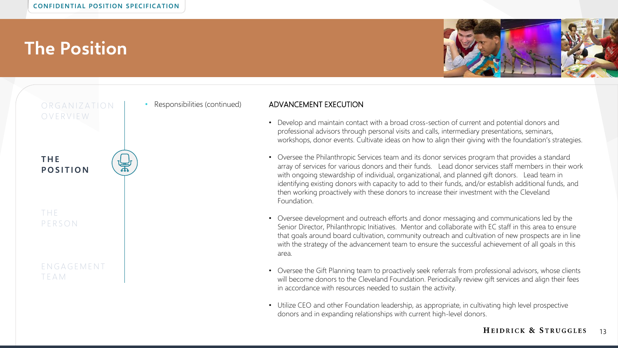



#### Responsibilities (continued) **ADVANCEMENT EXECUTION**

- Develop and maintain contact with a broad cross-section of current and potential donors and professional advisors through personal visits and calls, intermediary presentations, seminars, workshops, donor events. Cultivate ideas on how to align their giving with the foundation's strategies.
- Oversee the Philanthropic Services team and its donor services program that provides a standard array of services for various donors and their funds. Lead donor services staff members in their work with ongoing stewardship of individual, organizational, and planned gift donors. Lead team in identifying existing donors with capacity to add to their funds, and/or establish additional funds, and then working proactively with these donors to increase their investment with the Cleveland Foundation.
- Oversee development and outreach efforts and donor messaging and communications led by the Senior Director, Philanthropic Initiatives. Mentor and collaborate with EC staff in this area to ensure that goals around board cultivation, community outreach and cultivation of new prospects are in line with the strategy of the advancement team to ensure the successful achievement of all goals in this area.
- Oversee the Gift Planning team to proactively seek referrals from professional advisors, whose clients will become donors to the Cleveland Foundation. Periodically review gift services and align their fees in accordance with resources needed to sustain the activity.
- Utilize CEO and other Foundation leadership, as appropriate, in cultivating high level prospective donors and in expanding relationships with current high-level donors.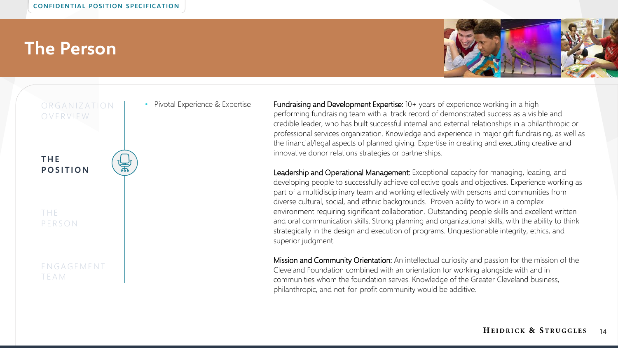#### **The Person**

T E A M



ORGANIZATION O V E R V I E W **T H E P O S I T I O N** T H E **PERSON** E N G A G E M E N T

• Pivotal Experience & Expertise **Fundraising and Development Expertise**: 10+ years of experience working in a highperforming fundraising team with a track record of demonstrated success as a visible and credible leader, who has built successful internal and external relationships in a philanthropic or professional services organization. Knowledge and experience in major gift fundraising, as well as the financial/legal aspects of planned giving. Expertise in creating and executing creative and innovative donor relations strategies or partnerships.

> Leadership and Operational Management: Exceptional capacity for managing, leading, and developing people to successfully achieve collective goals and objectives. Experience working as part of a multidisciplinary team and working effectively with persons and communities from diverse cultural, social, and ethnic backgrounds. Proven ability to work in a complex environment requiring significant collaboration. Outstanding people skills and excellent written and oral communication skills. Strong planning and organizational skills, with the ability to think strategically in the design and execution of programs. Unquestionable integrity, ethics, and superior judgment.

> Mission and Community Orientation: An intellectual curiosity and passion for the mission of the Cleveland Foundation combined with an orientation for working alongside with and in communities whom the foundation serves. Knowledge of the Greater Cleveland business, philanthropic, and not-for-profit community would be additive.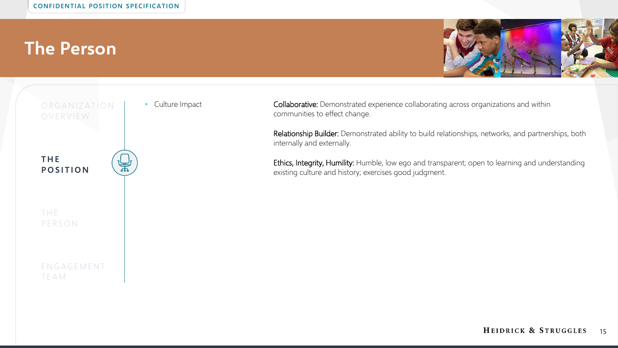### **The Person**





• Culture Impact **Collaborative:** Demonstrated experience collaborating across organizations and within communities to effect change.

> Relationship Builder: Demonstrated ability to build relationships, networks, and partnerships, both internally and externally.

> Ethics, Integrity, Humility: Humble, low ego and transparent; open to learning and understanding existing culture and history; exercises good judgment.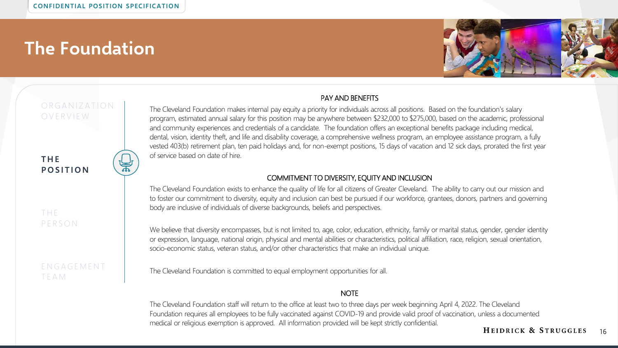### **The Foundation**



#### ORGANIZATION O V E R V I E W

#### **T H E P O S I T I O N**

T H E **PERSON** 

E N G A G E M E N T T E A M

The Cleveland Foundation makes internal pay equity a priority for individuals across all positions. Based on the foundation's salary program, estimated annual salary for this position may be anywhere between \$232,000 to \$275,000, based on the academic, professional and community experiences and credentials of a candidate. The foundation offers an exceptional benefits package including medical, dental, vision, identity theft, and life and disability coverage, a comprehensive wellness program, an employee assistance program, a fully vested 403(b) retirement plan, ten paid holidays and, for non-exempt positions, 15 days of vacation and 12 sick days, prorated the first year of service based on date of hire.

PAY AND BENEFITS

#### COMMITMENT TO DIVERSITY, EQUITY AND INCLUSION

The Cleveland Foundation exists to enhance the quality of life for all citizens of Greater Cleveland. The ability to carry out our mission and to foster our commitment to diversity, equity and inclusion can best be pursued if our workforce, grantees, donors, partners and governing body are inclusive of individuals of diverse backgrounds, beliefs and perspectives.

We believe that diversity encompasses, but is not limited to, age, color, education, ethnicity, family or marital status, gender, gender identity or expression, language, national origin, physical and mental abilities or characteristics, political affiliation, race, religion, sexual orientation, socio-economic status, veteran status, and/or other characteristics that make an individual unique.

The Cleveland Foundation is committed to equal employment opportunities for all.

#### **NOTE**

The Cleveland Foundation staff will return to the office at least two to three days per week beginning April 4, 2022. The Cleveland Foundation requires all employees to be fully vaccinated against COVID-19 and provide valid proof of vaccination, unless a documented medical or religious exemption is approved. All information provided will be kept strictly confidential.